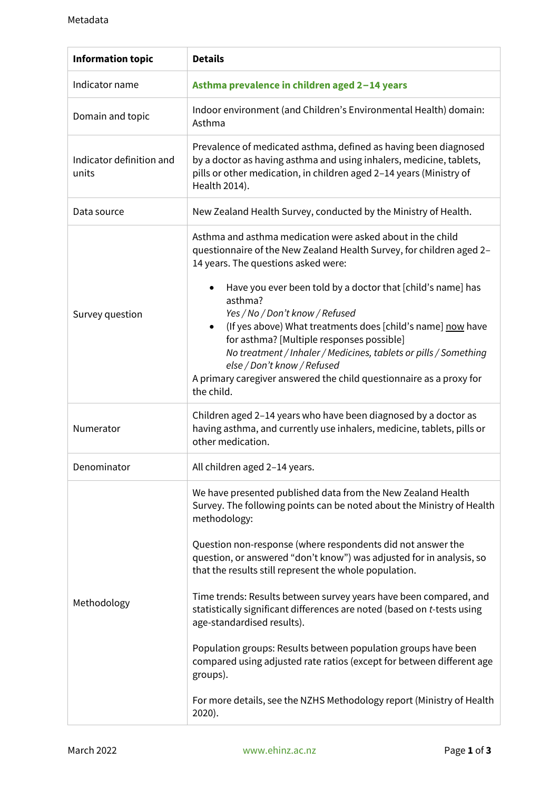| <b>Information topic</b>          | <b>Details</b>                                                                                                                                                                                                                                                                                                                                                                                                                                                                                                                                                                                                                                                                               |
|-----------------------------------|----------------------------------------------------------------------------------------------------------------------------------------------------------------------------------------------------------------------------------------------------------------------------------------------------------------------------------------------------------------------------------------------------------------------------------------------------------------------------------------------------------------------------------------------------------------------------------------------------------------------------------------------------------------------------------------------|
| Indicator name                    | Asthma prevalence in children aged 2-14 years                                                                                                                                                                                                                                                                                                                                                                                                                                                                                                                                                                                                                                                |
| Domain and topic                  | Indoor environment (and Children's Environmental Health) domain:<br>Asthma                                                                                                                                                                                                                                                                                                                                                                                                                                                                                                                                                                                                                   |
| Indicator definition and<br>units | Prevalence of medicated asthma, defined as having been diagnosed<br>by a doctor as having asthma and using inhalers, medicine, tablets,<br>pills or other medication, in children aged 2-14 years (Ministry of<br>Health 2014).                                                                                                                                                                                                                                                                                                                                                                                                                                                              |
| Data source                       | New Zealand Health Survey, conducted by the Ministry of Health.                                                                                                                                                                                                                                                                                                                                                                                                                                                                                                                                                                                                                              |
| Survey question                   | Asthma and asthma medication were asked about in the child<br>questionnaire of the New Zealand Health Survey, for children aged 2-<br>14 years. The questions asked were:                                                                                                                                                                                                                                                                                                                                                                                                                                                                                                                    |
|                                   | Have you ever been told by a doctor that [child's name] has<br>$\bullet$<br>asthma?<br>Yes / No / Don't know / Refused<br>(If yes above) What treatments does [child's name] now have<br>$\bullet$<br>for asthma? [Multiple responses possible]<br>No treatment / Inhaler / Medicines, tablets or pills / Something<br>else / Don't know / Refused<br>A primary caregiver answered the child questionnaire as a proxy for<br>the child.                                                                                                                                                                                                                                                      |
| Numerator                         | Children aged 2-14 years who have been diagnosed by a doctor as<br>having asthma, and currently use inhalers, medicine, tablets, pills or<br>other medication.                                                                                                                                                                                                                                                                                                                                                                                                                                                                                                                               |
| Denominator                       | All children aged 2-14 years.                                                                                                                                                                                                                                                                                                                                                                                                                                                                                                                                                                                                                                                                |
| Methodology                       | We have presented published data from the New Zealand Health<br>Survey. The following points can be noted about the Ministry of Health<br>methodology:<br>Question non-response (where respondents did not answer the<br>question, or answered "don't know") was adjusted for in analysis, so<br>that the results still represent the whole population.<br>Time trends: Results between survey years have been compared, and<br>statistically significant differences are noted (based on t-tests using<br>age-standardised results).<br>Population groups: Results between population groups have been<br>compared using adjusted rate ratios (except for between different age<br>groups). |
|                                   | For more details, see the NZHS Methodology report (Ministry of Health<br>$2020$ ).                                                                                                                                                                                                                                                                                                                                                                                                                                                                                                                                                                                                           |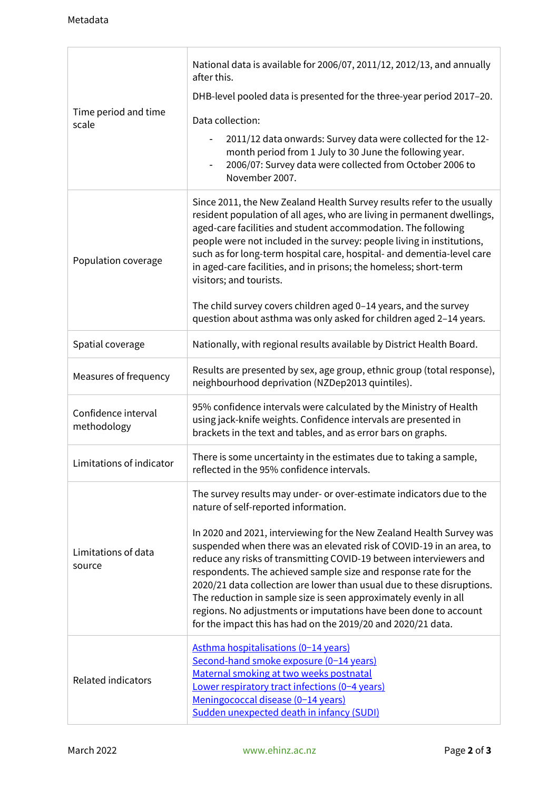$\overline{1}$ 

| Time period and time<br>scale      | National data is available for 2006/07, 2011/12, 2012/13, and annually<br>after this.                                                                                                                                                                                                                                                                                                                                                                                                                                                                                                                            |
|------------------------------------|------------------------------------------------------------------------------------------------------------------------------------------------------------------------------------------------------------------------------------------------------------------------------------------------------------------------------------------------------------------------------------------------------------------------------------------------------------------------------------------------------------------------------------------------------------------------------------------------------------------|
|                                    | DHB-level pooled data is presented for the three-year period 2017-20.                                                                                                                                                                                                                                                                                                                                                                                                                                                                                                                                            |
|                                    | Data collection:                                                                                                                                                                                                                                                                                                                                                                                                                                                                                                                                                                                                 |
|                                    | 2011/12 data onwards: Survey data were collected for the 12-<br>month period from 1 July to 30 June the following year.<br>2006/07: Survey data were collected from October 2006 to<br>November 2007.                                                                                                                                                                                                                                                                                                                                                                                                            |
| Population coverage                | Since 2011, the New Zealand Health Survey results refer to the usually<br>resident population of all ages, who are living in permanent dwellings,<br>aged-care facilities and student accommodation. The following<br>people were not included in the survey: people living in institutions,<br>such as for long-term hospital care, hospital- and dementia-level care<br>in aged-care facilities, and in prisons; the homeless; short-term<br>visitors; and tourists.<br>The child survey covers children aged 0-14 years, and the survey<br>question about asthma was only asked for children aged 2-14 years. |
| Spatial coverage                   | Nationally, with regional results available by District Health Board.                                                                                                                                                                                                                                                                                                                                                                                                                                                                                                                                            |
| Measures of frequency              | Results are presented by sex, age group, ethnic group (total response),<br>neighbourhood deprivation (NZDep2013 quintiles).                                                                                                                                                                                                                                                                                                                                                                                                                                                                                      |
| Confidence interval<br>methodology | 95% confidence intervals were calculated by the Ministry of Health<br>using jack-knife weights. Confidence intervals are presented in<br>brackets in the text and tables, and as error bars on graphs.                                                                                                                                                                                                                                                                                                                                                                                                           |
| Limitations of indicator           | There is some uncertainty in the estimates due to taking a sample,<br>reflected in the 95% confidence intervals.                                                                                                                                                                                                                                                                                                                                                                                                                                                                                                 |
| Limitations of data<br>source      | The survey results may under- or over-estimate indicators due to the<br>nature of self-reported information.                                                                                                                                                                                                                                                                                                                                                                                                                                                                                                     |
|                                    | In 2020 and 2021, interviewing for the New Zealand Health Survey was<br>suspended when there was an elevated risk of COVID-19 in an area, to<br>reduce any risks of transmitting COVID-19 between interviewers and<br>respondents. The achieved sample size and response rate for the<br>2020/21 data collection are lower than usual due to these disruptions.<br>The reduction in sample size is seen approximately evenly in all<br>regions. No adjustments or imputations have been done to account<br>for the impact this has had on the 2019/20 and 2020/21 data.                                          |
| <b>Related indicators</b>          | Asthma hospitalisations (0-14 years)<br>Second-hand smoke exposure (0-14 years)<br>Maternal smoking at two weeks postnatal<br>Lower respiratory tract infections (0-4 years)<br>Meningococcal disease (0-14 years)<br>Sudden unexpected death in infancy (SUDI)                                                                                                                                                                                                                                                                                                                                                  |